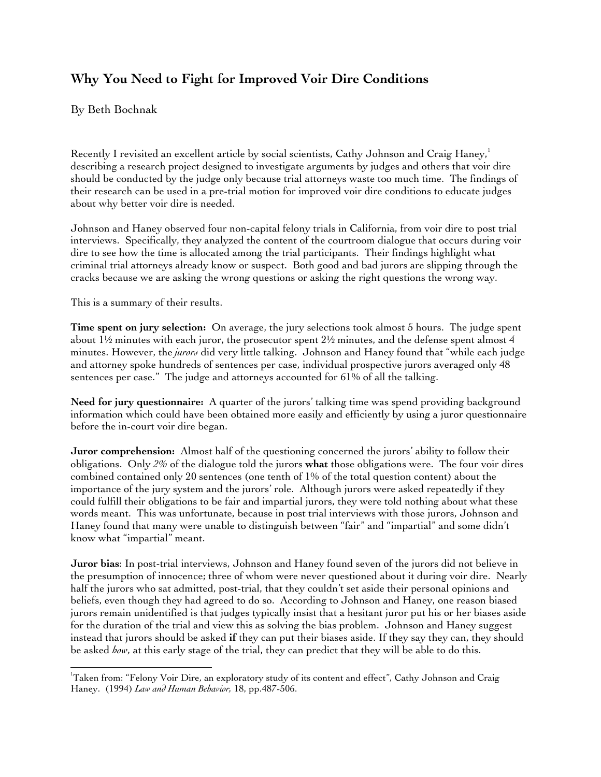## **Why You Need to Fight for Improved Voir Dire Conditions**

By Beth Bochnak

Recently I revisited an excellent article by social scientists, Cathy Johnson and Craig Haney,<sup>1</sup> describing a research project designed to investigate arguments by judges and others that voir dire should be conducted by the judge only because trial attorneys waste too much time. The findings of their research can be used in a pre-trial motion for improved voir dire conditions to educate judges about why better voir dire is needed.

Johnson and Haney observed four non-capital felony trials in California, from voir dire to post trial interviews. Specifically, they analyzed the content of the courtroom dialogue that occurs during voir dire to see how the time is allocated among the trial participants. Their findings highlight what criminal trial attorneys already know or suspect. Both good and bad jurors are slipping through the cracks because we are asking the wrong questions or asking the right questions the wrong way.

This is a summary of their results.

l

**Time spent on jury selection:** On average, the jury selections took almost 5 hours. The judge spent about  $1\frac{1}{2}$  minutes with each juror, the prosecutor spent  $2\frac{1}{2}$  minutes, and the defense spent almost 4 minutes. However, the *jurors* did very little talking. Johnson and Haney found that "while each judge and attorney spoke hundreds of sentences per case, individual prospective jurors averaged only 48 sentences per case." The judge and attorneys accounted for 61% of all the talking.

**Need for jury questionnaire:** A quarter of the jurors' talking time was spend providing background information which could have been obtained more easily and efficiently by using a juror questionnaire before the in-court voir dire began.

**Juror comprehension:** Almost half of the questioning concerned the jurors' ability to follow their obligations. Only *2%* of the dialogue told the jurors **what** those obligations were. The four voir dires combined contained only 20 sentences (one tenth of 1% of the total question content) about the importance of the jury system and the jurors' role. Although jurors were asked repeatedly if they could fulfill their obligations to be fair and impartial jurors, they were told nothing about what these words meant. This was unfortunate, because in post trial interviews with those jurors, Johnson and Haney found that many were unable to distinguish between "fair" and "impartial" and some didn't know what "impartial" meant.

**Juror bias**: In post-trial interviews, Johnson and Haney found seven of the jurors did not believe in the presumption of innocence; three of whom were never questioned about it during voir dire. Nearly half the jurors who sat admitted, post-trial, that they couldn't set aside their personal opinions and beliefs, even though they had agreed to do so. According to Johnson and Haney, one reason biased jurors remain unidentified is that judges typically insist that a hesitant juror put his or her biases aside for the duration of the trial and view this as solving the bias problem. Johnson and Haney suggest instead that jurors should be asked **if** they can put their biases aside. If they say they can, they should be asked *how*, at this early stage of the trial, they can predict that they will be able to do this.

<sup>&</sup>lt;sup>1</sup>Taken from: "Felony Voir Dire, an exploratory study of its content and effect", Cathy Johnson and Craig Haney. (1994) *Law and Human Behavior,* 18, pp.487-506.